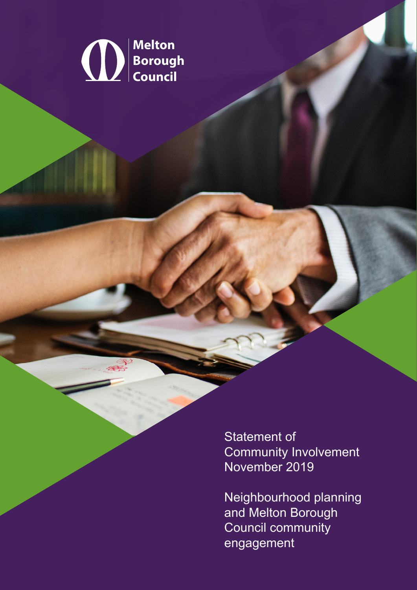

**Statement of Community Involvement** November 2019

Neighbourhood planning and Melton Borough Council community engagement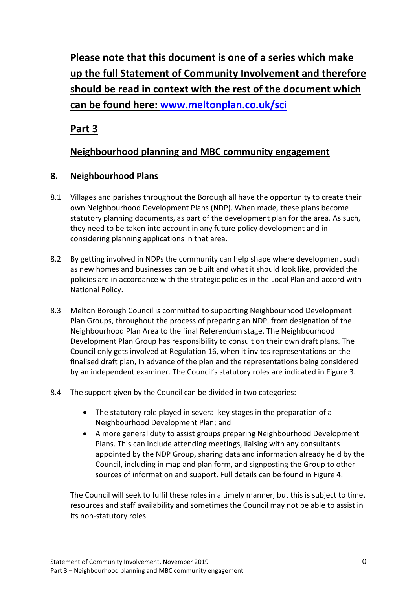**Please note that this document is one of a series which make up the full Statement of Community Involvement and therefore should be read in context with the rest of the document which can be found here: [www.meltonplan.co.uk/sci](http://www.meltonplan.co.uk/sci)**

**Part 3**

# **Neighbourhood planning and MBC community engagement**

### **8. Neighbourhood Plans**

- 8.1 Villages and parishes throughout the Borough all have the opportunity to create their own Neighbourhood Development Plans (NDP). When made, these plans become statutory planning documents, as part of the development plan for the area. As such, they need to be taken into account in any future policy development and in considering planning applications in that area.
- 8.2 By getting involved in NDPs the community can help shape where development such as new homes and businesses can be built and what it should look like, provided the policies are in accordance with the strategic policies in the Local Plan and accord with National Policy.
- 8.3 Melton Borough Council is committed to supporting Neighbourhood Development Plan Groups, throughout the process of preparing an NDP, from designation of the Neighbourhood Plan Area to the final Referendum stage. The Neighbourhood Development Plan Group has responsibility to consult on their own draft plans. The Council only gets involved at Regulation 16, when it invites representations on the finalised draft plan, in advance of the plan and the representations being considered by an independent examiner. The Council's statutory roles are indicated in Figure 3.
- 8.4 The support given by the Council can be divided in two categories:
	- The statutory role played in several key stages in the preparation of a Neighbourhood Development Plan; and
	- A more general duty to assist groups preparing Neighbourhood Development Plans. This can include attending meetings, liaising with any consultants appointed by the NDP Group, sharing data and information already held by the Council, including in map and plan form, and signposting the Group to other sources of information and support. Full details can be found in Figure 4.

The Council will seek to fulfil these roles in a timely manner, but this is subject to time, resources and staff availability and sometimes the Council may not be able to assist in its non-statutory roles.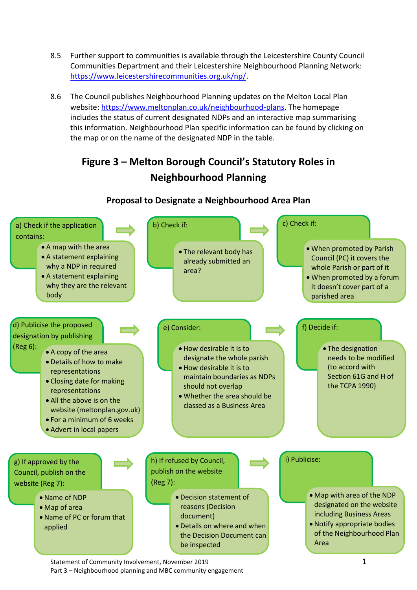- 8.5 Further support to communities is available through the Leicestershire County Council Communities Department and their Leicestershire Neighbourhood Planning Network: [https://www.leicestershirecommunities.org.uk/np/.](https://www.leicestershirecommunities.org.uk/np/)
- 8.6 The Council publishes Neighbourhood Planning updates on the Melton Local Plan website: [https://www.meltonplan.co.uk/neighbourhood-plans.](https://www.meltonplan.co.uk/neighbourhood-plans) The homepage includes the status of current designated NDPs and an interactive map summarising this information. Neighbourhood Plan specific information can be found by clicking on the map or on the name of the designated NDP in the table.

# **Figure 3 – Melton Borough Council's Statutory Roles in Neighbourhood Planning**



#### **Proposal to Designate a Neighbourhood Area Plan**

Part 3 – Neighbourhood planning and MBC community engagement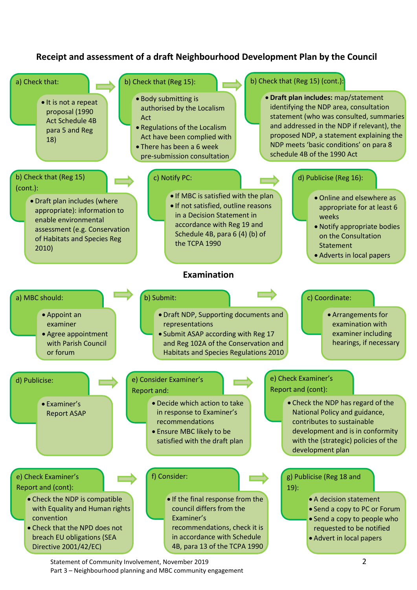## **Receipt and assessment of a draft Neighbourhood Development Plan by the Council**



Statement of Community Involvement, November 2019 **2** Part 3 – Neighbourhood planning and MBC community engagement